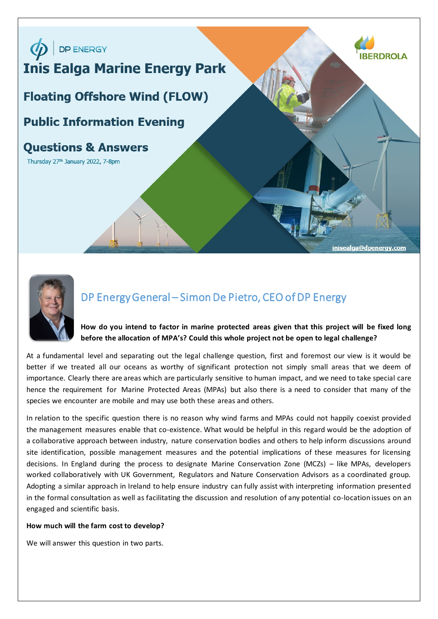



# DP Energy General – Simon De Pietro, CEO of DP Energy

## **How do you intend to factor in marine protected areas given that this project will be fixed long before the allocation of MPA's? Could this whole project not be open to legal challenge?**

At a fundamental level and separating out the legal challenge question, first and foremost our view is it would be better if we treated all our oceans as worthy of significant protection not simply small areas that we deem of importance. Clearly there are areas which are particularly sensitive to human impact, and we need to take special care hence the requirement for Marine Protected Areas (MPAs) but also there is a need to consider that many of the species we encounter are mobile and may use both these areas and others.

In relation to the specific question there is no reason why wind farms and MPAs could not happily coexist provided the management measures enable that co-existence. What would be helpful in this regard would be the adoption of a collaborative approach between industry, nature conservation bodies and others to help inform discussions around site identification, possible management measures and the potential implications of these measures for licensing decisions. In England during the process to designate Marine Conservation Zone (MCZs) – like MPAs, developers worked collaboratively with UK Government, Regulators and Nature Conservation Advisors as a coordinated group. Adopting a similar approach in Ireland to help ensure industry can fully assist with interpreting information presented in the formal consultation as well as facilitating the discussion and resolution of any potential co-location issues on an engaged and scientific basis.

## **How much will the farm cost to develop?**

We will answer this question in two parts.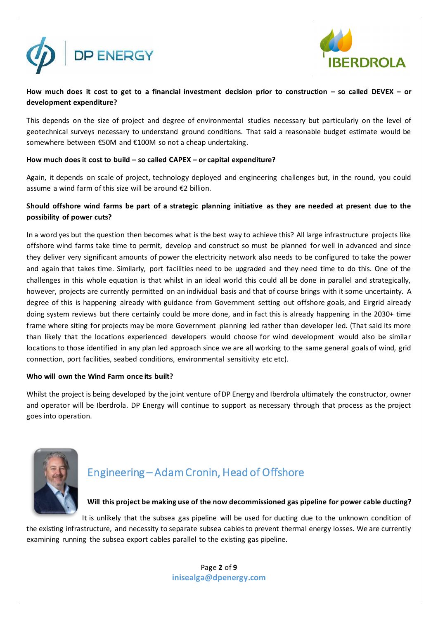



## **How much does it cost to get to a financial investment decision prior to construction – so called DEVEX – or development expenditure?**

This depends on the size of project and degree of environmental studies necessary but particularly on the level of geotechnical surveys necessary to understand ground conditions. That said a reasonable budget estimate would be somewhere between €50M and €100M so not a cheap undertaking.

## **How much does it cost to build – so called CAPEX – or capital expenditure?**

Again, it depends on scale of project, technology deployed and engineering challenges but, in the round, you could assume a wind farm of this size will be around €2 billion.

## **Should offshore wind farms be part of a strategic planning initiative as they are needed at present due to the possibility of power cuts?**

In a word yes but the question then becomes what is the best way to achieve this? All large infrastructure projects like offshore wind farms take time to permit, develop and construct so must be planned for well in advanced and since they deliver very significant amounts of power the electricity network also needs to be configured to take the power and again that takes time. Similarly, port facilities need to be upgraded and they need time to do this. One of the challenges in this whole equation is that whilst in an ideal world this could all be done in parallel and strategically, however, projects are currently permitted on an individual basis and that of course brings with it some uncertainty. A degree of this is happening already with guidance from Government setting out offshore goals, and Eirgrid already doing system reviews but there certainly could be more done, and in fact this is already happening in the 2030+ time frame where siting for projects may be more Government planning led rather than developer led. (That said its more than likely that the locations experienced developers would choose for wind development would also be similar locations to those identified in any plan led approach since we are all working to the same general goals of wind, grid connection, port facilities, seabed conditions, environmental sensitivity etc etc).

## **Who will own the Wind Farm once its built?**

Whilst the project is being developed by the joint venture of DP Energy and Iberdrola ultimately the constructor, owner and operator will be Iberdrola. DP Energy will continue to support as necessary through that process as the project goes into operation.



# Engineering – Adam Cronin, Head of Offshore

## **Will this project be making use of the now decommissioned gas pipeline for power cable ducting?**

It is unlikely that the subsea gas pipeline will be used for ducting due to the unknown condition of the existing infrastructure, and necessity to separate subsea cables to prevent thermal energy losses. We are currently examining running the subsea export cables parallel to the existing gas pipeline.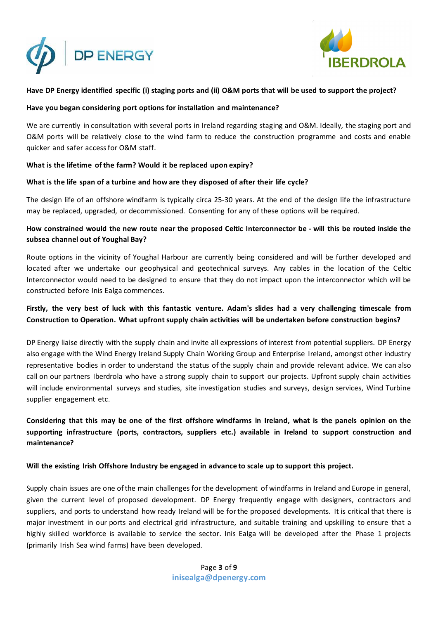



## **Have DP Energy identified specific (i) staging ports and (ii) O&M ports that will be used to support the project?**

## **Have you began considering port options for installation and maintenance?**

We are currently in consultation with several ports in Ireland regarding staging and O&M. Ideally, the staging port and O&M ports will be relatively close to the wind farm to reduce the construction programme and costs and enable quicker and safer access for O&M staff.

## **What is the lifetime of the farm? Would it be replaced upon expiry?**

## **What is the life span of a turbine and how are they disposed of after their life cycle?**

The design life of an offshore windfarm is typically circa 25-30 years. At the end of the design life the infrastructure may be replaced, upgraded, or decommissioned. Consenting for any of these options will be required.

## **How constrained would the new route near the proposed Celtic Interconnector be - will this be routed inside the subsea channel out of Youghal Bay?**

Route options in the vicinity of Youghal Harbour are currently being considered and will be further developed and located after we undertake our geophysical and geotechnical surveys. Any cables in the location of the Celtic Interconnector would need to be designed to ensure that they do not impact upon the interconnector which will be constructed before Inis Ealga commences.

## **Firstly, the very best of luck with this fantastic venture. Adam's slides had a very challenging timescale from Construction to Operation. What upfront supply chain activities will be undertaken before construction begins?**

DP Energy liaise directly with the supply chain and invite all expressions of interest from potential suppliers. DP Energy also engage with the Wind Energy Ireland Supply Chain Working Group and Enterprise Ireland, amongst other industry representative bodies in order to understand the status of the supply chain and provide relevant advice. We can also call on our partners Iberdrola who have a strong supply chain to support our projects. Upfront supply chain activities will include environmental surveys and studies, site investigation studies and surveys, design services, Wind Turbine supplier engagement etc.

**Considering that this may be one of the first offshore windfarms in Ireland, what is the panels opinion on the supporting infrastructure (ports, contractors, suppliers etc.) available in Ireland to support construction and maintenance?**

## **Will the existing Irish Offshore Industry be engaged in advance to scale up to support this project.**

Supply chain issues are one of the main challenges for the development of windfarms in Ireland and Europe in general, given the current level of proposed development. DP Energy frequently engage with designers, contractors and suppliers, and ports to understand how ready Ireland will be for the proposed developments. It is critical that there is major investment in our ports and electrical grid infrastructure, and suitable training and upskilling to ensure that a highly skilled workforce is available to service the sector. Inis Ealga will be developed after the Phase 1 projects (primarily Irish Sea wind farms) have been developed.

> Page **3** of **9 inisealga@dpenergy.com**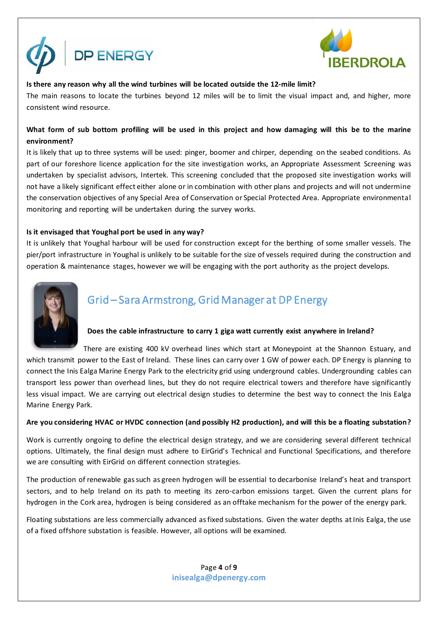



## **Is there any reason why all the wind turbines will be located outside the 12-mile limit?**

The main reasons to locate the turbines beyond 12 miles will be to limit the visual impact and, and higher, more consistent wind resource.

## **What form of sub bottom profiling will be used in this project and how damaging will this be to the marine environment?**

It is likely that up to three systems will be used: pinger, boomer and chirper, depending on the seabed conditions. As part of our foreshore licence application for the site investigation works, an Appropriate Assessment Screening was undertaken by specialist advisors, Intertek. This screening concluded that the proposed site investigation works will not have a likely significant effect either alone or in combination with other plans and projects and will not undermine the conservation objectives of any Special Area of Conservation or Special Protected Area. Appropriate environmental monitoring and reporting will be undertaken during the survey works.

## **Is it envisaged that Youghal port be used in any way?**

It is unlikely that Youghal harbour will be used for construction except for the berthing of some smaller vessels. The pier/port infrastructure in Youghal is unlikely to be suitable for the size of vessels required during the construction and operation & maintenance stages, however we will be engaging with the port authority as the project develops.



## Grid – Sara Armstrong, Grid Manager at DP Energy

## **Does the cable infrastructure to carry 1 giga watt currently exist anywhere in Ireland?**

There are existing 400 kV overhead lines which start at Moneypoint at the Shannon Estuary, and which transmit power to the East of Ireland. These lines can carry over 1 GW of power each. DP Energy is planning to connect the Inis Ealga Marine Energy Park to the electricity grid using underground cables. Undergrounding cables can transport less power than overhead lines, but they do not require electrical towers and therefore have significantly less visual impact. We are carrying out electrical design studies to determine the best way to connect the Inis Ealga Marine Energy Park.

## **Are you considering HVAC or HVDC connection (and possibly H2 production), and will this be a floating substation?**

Work is currently ongoing to define the electrical design strategy, and we are considering several different technical options. Ultimately, the final design must adhere to EirGrid's Technical and Functional Specifications, and therefore we are consulting with EirGrid on different connection strategies.

The production of renewable gas such as green hydrogen will be essential to decarbonise Ireland's heat and transport sectors, and to help Ireland on its path to meeting its zero-carbon emissions target. Given the current plans for hydrogen in the Cork area, hydrogen is being considered as an offtake mechanism for the power of the energy park.

Floating substations are less commercially advanced as fixed substations. Given the water depths at Inis Ealga, the use of a fixed offshore substation is feasible. However, all options will be examined.

## Page **4** of **9 inisealga@dpenergy.com**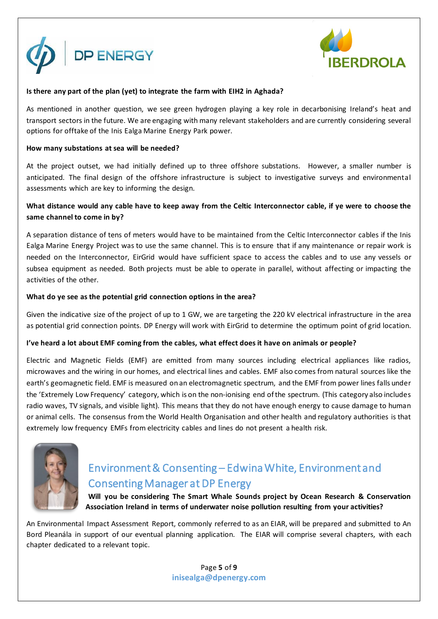



## **Is there any part of the plan (yet) to integrate the farm with EIH2 in Aghada?**

As mentioned in another question, we see green hydrogen playing a key role in decarbonising Ireland's heat and transport sectors in the future. We are engaging with many relevant stakeholders and are currently considering several options for offtake of the Inis Ealga Marine Energy Park power.

#### **How many substations at sea will be needed?**

At the project outset, we had initially defined up to three offshore substations. However, a smaller number is anticipated. The final design of the offshore infrastructure is subject to investigative surveys and environmental assessments which are key to informing the design.

## **What distance would any cable have to keep away from the Celtic Interconnector cable, if ye were to choose the same channel to come in by?**

A separation distance of tens of meters would have to be maintained from the Celtic Interconnector cables if the Inis Ealga Marine Energy Project was to use the same channel. This is to ensure that if any maintenance or repair work is needed on the Interconnector, EirGrid would have sufficient space to access the cables and to use any vessels or subsea equipment as needed. Both projects must be able to operate in parallel, without affecting or impacting the activities of the other.

#### **What do ye see as the potential grid connection options in the area?**

Given the indicative size of the project of up to 1 GW, we are targeting the 220 kV electrical infrastructure in the area as potential grid connection points. DP Energy will work with EirGrid to determine the optimum point of grid location.

## **I've heard a lot about EMF coming from the cables, what effect does it have on animals or people?**

Electric and Magnetic Fields (EMF) are emitted from many sources including electrical appliances like radios, microwaves and the wiring in our homes, and electrical lines and cables. EMF also comes from natural sources like the earth's geomagnetic field. EMF is measured on an electromagnetic spectrum, and the EMF from power lines falls under the 'Extremely Low Frequency' category, which is on the non-ionising end of the spectrum. (This category also includes radio waves, TV signals, and visible light). This means that they do not have enough energy to cause damage to human or animal cells. The consensus from the World Health Organisation and other health and regulatory authorities is that extremely low frequency EMFs from electricity cables and lines do not present a health risk.



# Environment & Consenting – Edwina White, Environment and Consenting Manager at DP Energy

**Will you be considering The Smart Whale Sounds project by Ocean Research & Conservation Association Ireland in terms of underwater noise pollution resulting from your activities?**

An Environmental Impact Assessment Report, commonly referred to as an EIAR, will be prepared and submitted to An Bord Pleanála in support of our eventual planning application. The EIAR will comprise several chapters, with each chapter dedicated to a relevant topic.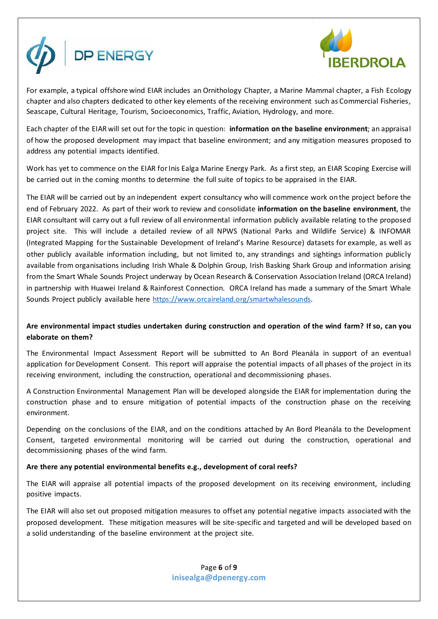



For example, a typical offshore wind EIAR includes an Ornithology Chapter, a Marine Mammal chapter, a Fish Ecology chapter and also chapters dedicated to other key elements of the receiving environment such as Commercial Fisheries, Seascape, Cultural Heritage, Tourism, Socioeconomics, Traffic, Aviation, Hydrology, and more.

Each chapter of the EIAR will set out for the topic in question: **information on the baseline environment**; an appraisal of how the proposed development may impact that baseline environment; and any mitigation measures proposed to address any potential impacts identified.

Work has yet to commence on the EIAR for Inis Ealga Marine Energy Park. As a first step, an EIAR Scoping Exercise will be carried out in the coming months to determine the full suite of topics to be appraised in the EIAR.

The EIAR will be carried out by an independent expert consultancy who will commence work on the project before the end of February 2022. As part of their work to review and consolidate **information on the baseline environment**, the EIAR consultant will carry out a full review of all environmental information publicly available relating to the proposed project site. This will include a detailed review of all NPWS (National Parks and Wildlife Service) & INFOMAR (Integrated Mapping for the Sustainable Development of Ireland's Marine Resource) datasets for example, as well as other publicly available information including, but not limited to, any strandings and sightings information publicly available from organisations including Irish Whale & Dolphin Group, Irish Basking Shark Group and information arising from the Smart Whale Sounds Project underway by Ocean Research & Conservation Association Ireland (ORCA Ireland) in partnership with Huawei Ireland & Rainforest Connection. ORCA Ireland has made a summary of the Smart Whale Sounds Project publicly available here [https://www.orcaireland.org/smartwhalesounds.](https://www.orcaireland.org/smartwhalesounds) 

## **Are environmental impact studies undertaken during construction and operation of the wind farm? If so, can you elaborate on them?**

The Environmental Impact Assessment Report will be submitted to An Bord Pleanála in support of an eventual application for Development Consent. This report will appraise the potential impacts of all phases of the project in its receiving environment, including the construction, operational and decommissioning phases.

A Construction Environmental Management Plan will be developed alongside the EIAR for implementation during the construction phase and to ensure mitigation of potential impacts of the construction phase on the receiving environment.

Depending on the conclusions of the EIAR, and on the conditions attached by An Bord Pleanála to the Development Consent, targeted environmental monitoring will be carried out during the construction, operational and decommissioning phases of the wind farm.

## **Are there any potential environmental benefits e.g., development of coral reefs?**

The EIAR will appraise all potential impacts of the proposed development on its receiving environment, including positive impacts.

The EIAR will also set out proposed mitigation measures to offset any potential negative impacts associated with the proposed development. These mitigation measures will be site-specific and targeted and will be developed based on a solid understanding of the baseline environment at the project site.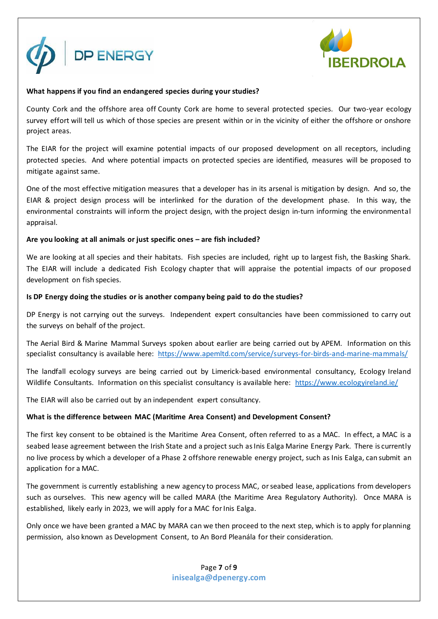



#### **What happens if you find an endangered species during your studies?**

County Cork and the offshore area off County Cork are home to several protected species. Our two-year ecology survey effort will tell us which of those species are present within or in the vicinity of either the offshore or onshore project areas.

The EIAR for the project will examine potential impacts of our proposed development on all receptors, including protected species. And where potential impacts on protected species are identified, measures will be proposed to mitigate against same.

One of the most effective mitigation measures that a developer has in its arsenal is mitigation by design. And so, the EIAR & project design process will be interlinked for the duration of the development phase. In this way, the environmental constraints will inform the project design, with the project design in-turn informing the environmental appraisal.

#### **Are you looking at all animals or just specific ones – are fish included?**

We are looking at all species and their habitats. Fish species are included, right up to largest fish, the Basking Shark. The EIAR will include a dedicated Fish Ecology chapter that will appraise the potential impacts of our proposed development on fish species.

#### **Is DP Energy doing the studies or is another company being paid to do the studies?**

DP Energy is not carrying out the surveys. Independent expert consultancies have been commissioned to carry out the surveys on behalf of the project.

The Aerial Bird & Marine Mammal Surveys spoken about earlier are being carried out by APEM. Information on this specialist consultancy is available here: <https://www.apemltd.com/service/surveys-for-birds-and-marine-mammals/>

The landfall ecology surveys are being carried out by Limerick-based environmental consultancy, Ecology Ireland Wildlife Consultants. Information on this specialist consultancy is available here: <https://www.ecologyireland.ie/>

The EIAR will also be carried out by an independent expert consultancy.

## **What is the difference between MAC (Maritime Area Consent) and Development Consent?**

The first key consent to be obtained is the Maritime Area Consent, often referred to as a MAC. In effect, a MAC is a seabed lease agreement between the Irish State and a project such as Inis Ealga Marine Energy Park. There is currently no live process by which a developer of a Phase 2 offshore renewable energy project, such as Inis Ealga, can submit an application for a MAC.

The government is currently establishing a new agency to process MAC, or seabed lease, applications from developers such as ourselves. This new agency will be called MARA (the Maritime Area Regulatory Authority). Once MARA is established, likely early in 2023, we will apply for a MAC for Inis Ealga.

Only once we have been granted a MAC by MARA can we then proceed to the next step, which is to apply for planning permission, also known as Development Consent, to An Bord Pleanála for their consideration.

> Page **7** of **9 inisealga@dpenergy.com**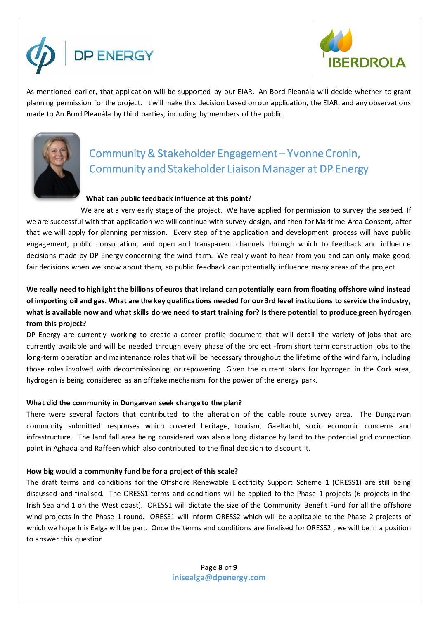



As mentioned earlier, that application will be supported by our EIAR. An Bord Pleanála will decide whether to grant planning permission forthe project. It will make this decision based on our application, the EIAR, and any observations made to An Bord Pleanála by third parties, including by members of the public.



# Community & Stakeholder Engagement – Yvonne Cronin, Community and Stakeholder Liaison Manager at DP Energy

## **What can public feedback influence at this point?**

We are at a very early stage of the project. We have applied for permission to survey the seabed. If we are successful with that application we will continue with survey design, and then for Maritime Area Consent, after that we will apply for planning permission. Every step of the application and development process will have public engagement, public consultation, and open and transparent channels through which to feedback and influence decisions made by DP Energy concerning the wind farm. We really want to hear from you and can only make good, fair decisions when we know about them, so public feedback can potentially influence many areas of the project.

## **We really need to highlight the billions of euros that Ireland can potentially earn from floating offshore wind instead of importing oil and gas. What are the key qualifications needed for our 3rd level institutions to service the industry, what is available now and what skills do we need to start training for? Is there potential to produce green hydrogen from this project?**

DP Energy are currently working to create a career profile document that will detail the variety of jobs that are currently available and will be needed through every phase of the project -from short term construction jobs to the long-term operation and maintenance roles that will be necessary throughout the lifetime of the wind farm, including those roles involved with decommissioning or repowering. Given the current plans for hydrogen in the Cork area, hydrogen is being considered as an offtake mechanism for the power of the energy park.

## **What did the community in Dungarvan seek change to the plan?**

There were several factors that contributed to the alteration of the cable route survey area. The Dungarvan community submitted responses which covered heritage, tourism, Gaeltacht, socio economic concerns and infrastructure. The land fall area being considered was also a long distance by land to the potential grid connection point in Aghada and Raffeen which also contributed to the final decision to discount it.

## **How big would a community fund be for a project of this scale?**

The draft terms and conditions for the Offshore Renewable Electricity Support Scheme 1 (ORESS1) are still being discussed and finalised. The ORESS1 terms and conditions will be applied to the Phase 1 projects (6 projects in the Irish Sea and 1 on the West coast). ORESS1 will dictate the size of the Community Benefit Fund for all the offshore wind projects in the Phase 1 round. ORESS1 will inform ORESS2 which will be applicable to the Phase 2 projects of which we hope Inis Ealga will be part. Once the terms and conditions are finalised for ORESS2 , we will be in a position to answer this question

> Page **8** of **9 inisealga@dpenergy.com**